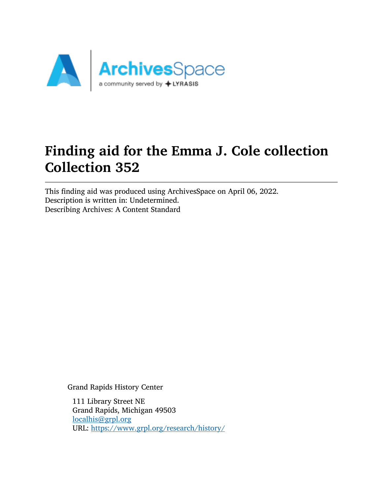

# Finding aid for the Emma J. Cole collection Collection 352

This finding aid was produced using ArchivesSpace on April 06, 2022. Description is written in: Undetermined. Describing Archives: A Content Standard

Grand Rapids History Center

111 Library Street NE Grand Rapids, Michigan 49503 [localhis@grpl.org](mailto:localhis@grpl.org) URL: <https://www.grpl.org/research/history/>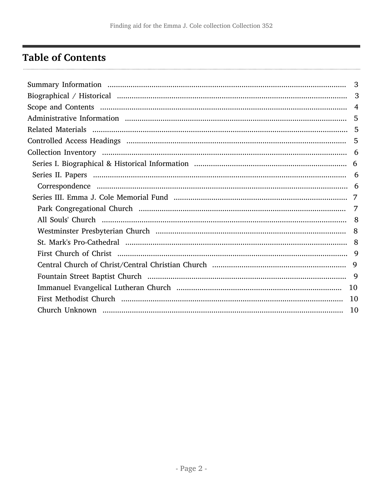# <span id="page-1-0"></span>**Table of Contents**

| 3  |
|----|
|    |
|    |
|    |
|    |
| -5 |
|    |
|    |
|    |
|    |
|    |
|    |
|    |
|    |
|    |
|    |
|    |
|    |
|    |
|    |
|    |
|    |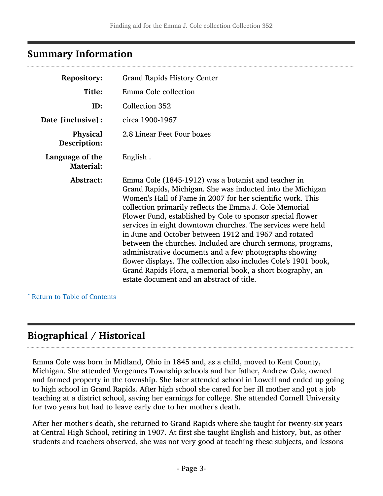### <span id="page-2-0"></span>Summary Information

| <b>Repository:</b>                  | <b>Grand Rapids History Center</b>                                                                                                                                                                                                                                                                                                                                                                                                                                                                                                                                                                                                                                                                                                       |
|-------------------------------------|------------------------------------------------------------------------------------------------------------------------------------------------------------------------------------------------------------------------------------------------------------------------------------------------------------------------------------------------------------------------------------------------------------------------------------------------------------------------------------------------------------------------------------------------------------------------------------------------------------------------------------------------------------------------------------------------------------------------------------------|
| Title:                              | Emma Cole collection                                                                                                                                                                                                                                                                                                                                                                                                                                                                                                                                                                                                                                                                                                                     |
| ID:                                 | Collection 352                                                                                                                                                                                                                                                                                                                                                                                                                                                                                                                                                                                                                                                                                                                           |
| Date [inclusive]:                   | circa 1900-1967                                                                                                                                                                                                                                                                                                                                                                                                                                                                                                                                                                                                                                                                                                                          |
| Physical<br>Description:            | 2.8 Linear Feet Four boxes                                                                                                                                                                                                                                                                                                                                                                                                                                                                                                                                                                                                                                                                                                               |
| Language of the<br><b>Material:</b> | English.                                                                                                                                                                                                                                                                                                                                                                                                                                                                                                                                                                                                                                                                                                                                 |
| Abstract:                           | Emma Cole (1845-1912) was a botanist and teacher in<br>Grand Rapids, Michigan. She was inducted into the Michigan<br>Women's Hall of Fame in 2007 for her scientific work. This<br>collection primarily reflects the Emma J. Cole Memorial<br>Flower Fund, established by Cole to sponsor special flower<br>services in eight downtown churches. The services were held<br>in June and October between 1912 and 1967 and rotated<br>between the churches. Included are church sermons, programs,<br>administrative documents and a few photographs showing<br>flower displays. The collection also includes Cole's 1901 book,<br>Grand Rapids Flora, a memorial book, a short biography, an<br>estate document and an abstract of title. |

^ [Return to Table of Contents](#page-1-0)

# <span id="page-2-1"></span>Biographical / Historical

Emma Cole was born in Midland, Ohio in 1845 and, as a child, moved to Kent County, Michigan. She attended Vergennes Township schools and her father, Andrew Cole, owned and farmed property in the township. She later attended school in Lowell and ended up going to high school in Grand Rapids. After high school she cared for her ill mother and got a job teaching at a district school, saving her earnings for college. She attended Cornell University for two years but had to leave early due to her mother's death.

After her mother's death, she returned to Grand Rapids where she taught for twenty-six years at Central High School, retiring in 1907. At first she taught English and history, but, as other students and teachers observed, she was not very good at teaching these subjects, and lessons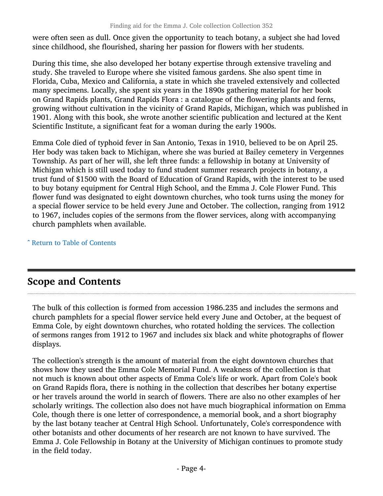were often seen as dull. Once given the opportunity to teach botany, a subject she had loved since childhood, she flourished, sharing her passion for flowers with her students.

During this time, she also developed her botany expertise through extensive traveling and study. She traveled to Europe where she visited famous gardens. She also spent time in Florida, Cuba, Mexico and California, a state in which she traveled extensively and collected many specimens. Locally, she spent six years in the 1890s gathering material for her book on Grand Rapids plants, Grand Rapids Flora : a catalogue of the flowering plants and ferns, growing without cultivation in the vicinity of Grand Rapids, Michigan, which was published in 1901. Along with this book, she wrote another scientific publication and lectured at the Kent Scientific Institute, a significant feat for a woman during the early 1900s.

Emma Cole died of typhoid fever in San Antonio, Texas in 1910, believed to be on April 25. Her body was taken back to Michigan, where she was buried at Bailey cemetery in Vergennes Township. As part of her will, she left three funds: a fellowship in botany at University of Michigan which is still used today to fund student summer research projects in botany, a trust fund of \$1500 with the Board of Education of Grand Rapids, with the interest to be used to buy botany equipment for Central High School, and the Emma J. Cole Flower Fund. This flower fund was designated to eight downtown churches, who took turns using the money for a special flower service to be held every June and October. The collection, ranging from 1912 to 1967, includes copies of the sermons from the flower services, along with accompanying church pamphlets when available.

^ [Return to Table of Contents](#page-1-0)

# <span id="page-3-0"></span>Scope and Contents

The bulk of this collection is formed from accession 1986.235 and includes the sermons and church pamphlets for a special flower service held every June and October, at the bequest of Emma Cole, by eight downtown churches, who rotated holding the services. The collection of sermons ranges from 1912 to 1967 and includes six black and white photographs of flower displays.

The collection's strength is the amount of material from the eight downtown churches that shows how they used the Emma Cole Memorial Fund. A weakness of the collection is that not much is known about other aspects of Emma Cole's life or work. Apart from Cole's book on Grand Rapids flora, there is nothing in the collection that describes her botany expertise or her travels around the world in search of flowers. There are also no other examples of her scholarly writings. The collection also does not have much biographical information on Emma Cole, though there is one letter of correspondence, a memorial book, and a short biography by the last botany teacher at Central High School. Unfortunately, Cole's correspondence with other botanists and other documents of her research are not known to have survived. The Emma J. Cole Fellowship in Botany at the University of Michigan continues to promote study in the field today.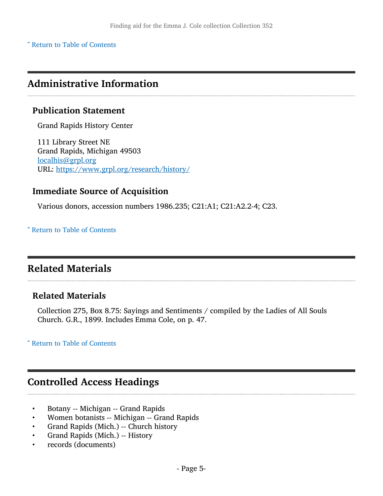^ [Return to Table of Contents](#page-1-0)

### <span id="page-4-0"></span>Administrative Information

### Publication Statement

Grand Rapids History Center

111 Library Street NE Grand Rapids, Michigan 49503 [localhis@grpl.org](mailto:localhis@grpl.org) URL: <https://www.grpl.org/research/history/>

### Immediate Source of Acquisition

Various donors, accession numbers 1986.235; C21:A1; C21:A2.2-4; C23.

^ [Return to Table of Contents](#page-1-0)

# <span id="page-4-1"></span>Related Materials

### Related Materials

Collection 275, Box 8.75: Sayings and Sentiments / compiled by the Ladies of All Souls Church. G.R., 1899. Includes Emma Cole, on p. 47.

^ [Return to Table of Contents](#page-1-0)

### <span id="page-4-2"></span>Controlled Access Headings

- Botany -- Michigan -- Grand Rapids
- Women botanists -- Michigan -- Grand Rapids
- Grand Rapids (Mich.) -- Church history
- Grand Rapids (Mich.) -- History
- records (documents)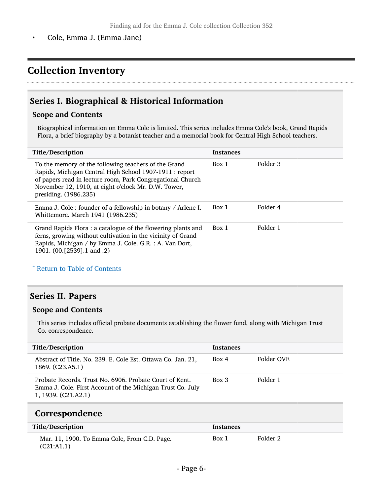• Cole, Emma J. (Emma Jane)

# <span id="page-5-0"></span>Collection Inventory

### <span id="page-5-1"></span>Series I. Biographical & Historical Information

#### Scope and Contents

Biographical information on Emma Cole is limited. This series includes Emma Cole's book, Grand Rapids Flora, a brief biography by a botanist teacher and a memorial book for Central High School teachers.

| Title/Description                                                                                                                                                                                                                                             | <b>Instances</b> |          |
|---------------------------------------------------------------------------------------------------------------------------------------------------------------------------------------------------------------------------------------------------------------|------------------|----------|
| To the memory of the following teachers of the Grand<br>Rapids, Michigan Central High School 1907-1911 : report<br>of papers read in lecture room, Park Congregational Church<br>November 12, 1910, at eight o'clock Mr. D.W. Tower,<br>presiding. (1986.235) | Box 1            | Folder 3 |
| Emma J. Cole : founder of a fellowship in botany / Arlene I.<br>Whittemore. March 1941 (1986.235)                                                                                                                                                             | Box 1            | Folder 4 |
| Grand Rapids Flora: a catalogue of the flowering plants and<br>ferns, growing without cultivation in the vicinity of Grand<br>Rapids, Michigan / by Emma J. Cole. G.R. : A. Van Dort,<br>1901. (00. [2539] .1 and .2)                                         | Box 1            | Folder 1 |

^ [Return to Table of Contents](#page-1-0)

### <span id="page-5-2"></span>Series II. Papers

#### Scope and Contents

This series includes official probate documents establishing the flower fund, along with Michigan Trust Co. correspondence.

| Title/Description<br><b>Instances</b><br>Folder OVE<br>Box 4<br>Abstract of Title. No. 239. E. Cole Est. Ottawa Co. Jan. 21,                                      |                  |  |
|-------------------------------------------------------------------------------------------------------------------------------------------------------------------|------------------|--|
|                                                                                                                                                                   |                  |  |
|                                                                                                                                                                   | 1869. (C23.A5.1) |  |
| Folder 1<br>Box 3<br>Probate Records. Trust No. 6906. Probate Court of Kent.<br>Emma J. Cole. First Account of the Michigan Trust Co. July<br>1, 1939. (C21.A2.1) |                  |  |

### <span id="page-5-3"></span>Correspondence

| Title/Description                                           | Instances |          |
|-------------------------------------------------------------|-----------|----------|
| Mar. 11, 1900. To Emma Cole, From C.D. Page.<br>(C21: A1.1) | Box 1     | Folder 2 |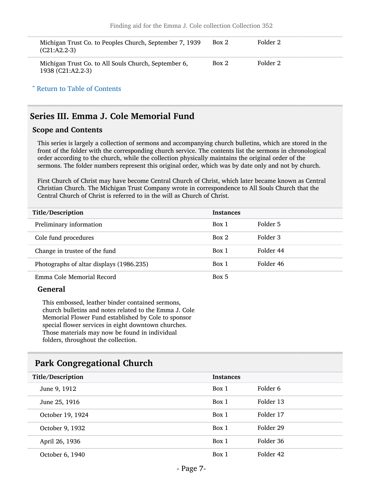| Michigan Trust Co. to Peoples Church, September 7, 1939<br>$(C21: A2.2-3)$ | Box 2 | Folder 2 |
|----------------------------------------------------------------------------|-------|----------|
| Michigan Trust Co. to All Souls Church, September 6,<br>1938 (C21:A2.2-3)  | Box 2 | Folder 2 |

^ [Return to Table of Contents](#page-1-0)

### <span id="page-6-0"></span>Series III. Emma J. Cole Memorial Fund

#### Scope and Contents

This series is largely a collection of sermons and accompanying church bulletins, which are stored in the front of the folder with the corresponding church service. The contents list the sermons in chronological order according to the church, while the collection physically maintains the original order of the sermons. The folder numbers represent this original order, which was by date only and not by church.

First Church of Christ may have become Central Church of Christ, which later became known as Central Christian Church. The Michigan Trust Company wrote in correspondence to All Souls Church that the Central Church of Christ is referred to in the will as Church of Christ.

| Title/Description                        | <b>Instances</b> |           |
|------------------------------------------|------------------|-----------|
| Preliminary information                  | Box 1            | Folder 5  |
| Cole fund procedures                     | Box 2            | Folder 3  |
| Change in trustee of the fund            | Box 1            | Folder 44 |
| Photographs of altar displays (1986.235) | Box 1            | Folder 46 |
| Emma Cole Memorial Record                | Box 5            |           |

#### General

This embossed, leather binder contained sermons, church bulletins and notes related to the Emma J. Cole Memorial Flower Fund established by Cole to sponsor special flower services in eight downtown churches. Those materials may now be found in individual folders, throughout the collection.

### <span id="page-6-1"></span>Park Congregational Church

| Title/Description | <b>Instances</b> |           |
|-------------------|------------------|-----------|
| June 9, 1912      | Box 1            | Folder 6  |
| June 25, 1916     | Box 1            | Folder 13 |
| October 19, 1924  | Box 1            | Folder 17 |
| October 9, 1932   | Box 1            | Folder 29 |
| April 26, 1936    | Box 1            | Folder 36 |
| October 6, 1940   | Box 1            | Folder 42 |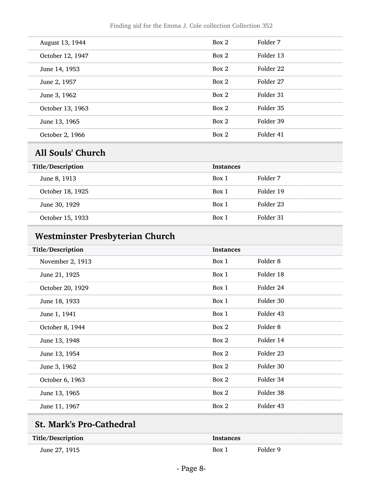| August 13, 1944  | Box 2 | Folder 7  |
|------------------|-------|-----------|
| October 12, 1947 | Box 2 | Folder 13 |
| June 14, 1953    | Box 2 | Folder 22 |
| June 2, 1957     | Box 2 | Folder 27 |
| June 3, 1962     | Box 2 | Folder 31 |
| October 13, 1963 | Box 2 | Folder 35 |
| June 13, 1965    | Box 2 | Folder 39 |
| October 2, 1966  | Box 2 | Folder 41 |

# <span id="page-7-0"></span>All Souls' Church

| Title/Description | <b>Instances</b> |           |
|-------------------|------------------|-----------|
| June 8, 1913      | Box 1            | Folder 7  |
| October 18, 1925  | Box 1            | Folder 19 |
| June 30, 1929     | Box 1            | Folder 23 |
| October 15, 1933  | Box 1            | Folder 31 |

# <span id="page-7-1"></span>Westminster Presbyterian Church

| Title/Description | <b>Instances</b> |                     |
|-------------------|------------------|---------------------|
| November 2, 1913  | Box 1            | Folder <sub>8</sub> |
| June 21, 1925     | Box 1            | Folder 18           |
| October 20, 1929  | Box 1            | Folder 24           |
| June 18, 1933     | Box 1            | Folder 30           |
| June 1, 1941      | Box 1            | Folder 43           |
| October 8, 1944   | Box 2            | Folder <sub>8</sub> |
| June 13, 1948     | Box 2            | Folder 14           |
| June 13, 1954     | Box 2            | Folder 23           |
| June 3, 1962      | Box 2            | Folder 30           |
| October 6, 1963   | Box 2            | Folder 34           |
| June 13, 1965     | Box 2            | Folder 38           |
| June 11, 1967     | Box 2            | Folder 43           |
|                   |                  |                     |

# <span id="page-7-2"></span>St. Mark's Pro-Cathedral

| Title/Description | Instances |          |
|-------------------|-----------|----------|
| June 27, 1915     | Box 1     | Folder 9 |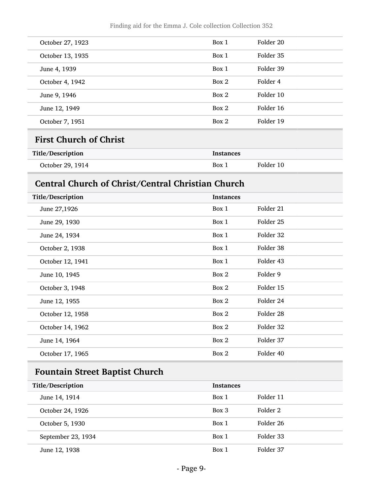| October 27, 1923 | Box 1 | Folder 20 |
|------------------|-------|-----------|
| October 13, 1935 | Box 1 | Folder 35 |
| June 4, 1939     | Box 1 | Folder 39 |
| October 4, 1942  | Box 2 | Folder 4  |
| June 9, 1946     | Box 2 | Folder 10 |
| June 12, 1949    | Box 2 | Folder 16 |
| October 7, 1951  | Box 2 | Folder 19 |

### <span id="page-8-0"></span>First Church of Christ

| Title/Description | Instances |           |
|-------------------|-----------|-----------|
| October 29, 1914  | Box 1     | Folder 10 |

### <span id="page-8-1"></span>Central Church of Christ/Central Christian Church

| Title/Description | <b>Instances</b> |           |
|-------------------|------------------|-----------|
| June 27,1926      | Box 1            | Folder 21 |
| June 29, 1930     | Box 1            | Folder 25 |
| June 24, 1934     | Box 1            | Folder 32 |
| October 2, 1938   | Box 1            | Folder 38 |
| October 12, 1941  | Box 1            | Folder 43 |
| June 10, 1945     | Box 2            | Folder 9  |
| October 3, 1948   | Box 2            | Folder 15 |
| June 12, 1955     | Box 2            | Folder 24 |
| October 12, 1958  | Box 2            | Folder 28 |
| October 14, 1962  | Box 2            | Folder 32 |
| June 14, 1964     | Box 2            | Folder 37 |
| October 17, 1965  | Box 2            | Folder 40 |

# <span id="page-8-2"></span>Fountain Street Baptist Church

| Title/Description  | <b>Instances</b> |           |
|--------------------|------------------|-----------|
| June 14, 1914      | Box 1            | Folder 11 |
| October 24, 1926   | Box 3            | Folder 2  |
| October 5, 1930    | Box 1            | Folder 26 |
| September 23, 1934 | Box 1            | Folder 33 |
| June 12, 1938      | Box 1            | Folder 37 |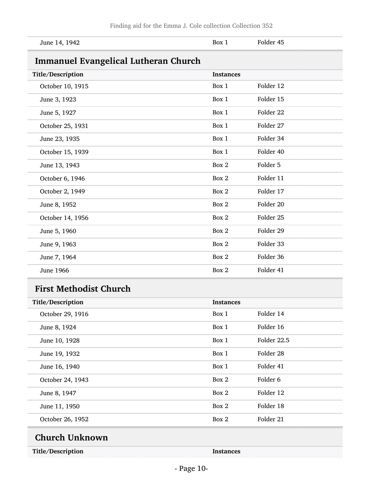<span id="page-9-0"></span>

| June 14, 1942                               | Box 1            | Folder 45   |  |
|---------------------------------------------|------------------|-------------|--|
| <b>Immanuel Evangelical Lutheran Church</b> |                  |             |  |
| Title/Description                           | <b>Instances</b> |             |  |
| October 10, 1915                            | Box 1            | Folder 12   |  |
| June 3, 1923                                | Box 1            | Folder 15   |  |
| June 5, 1927                                | Box 1            | Folder 22   |  |
| October 25, 1931                            | Box 1            | Folder 27   |  |
| June 23, 1935                               | Box 1            | Folder 34   |  |
| October 15, 1939                            | Box 1            | Folder 40   |  |
| June 13, 1943                               | Box 2            | Folder 5    |  |
| October 6, 1946                             | Box 2            | Folder 11   |  |
| October 2, 1949                             | Box 2            | Folder 17   |  |
| June 8, 1952                                | Box 2            | Folder 20   |  |
| October 14, 1956                            | Box 2            | Folder 25   |  |
| June 5, 1960                                | Box 2            | Folder 29   |  |
| June 9, 1963                                | Box 2            | Folder 33   |  |
| June 7, 1964                                | Box 2            | Folder 36   |  |
| <b>June 1966</b>                            | Box 2            | Folder 41   |  |
| <b>First Methodist Church</b>               |                  |             |  |
| Title/Description                           | <b>Instances</b> |             |  |
| October 29, 1916                            | Box 1            | Folder 14   |  |
| June 8, 1924                                | Box 1            | Folder 16   |  |
| June 10, 1928                               | Box 1            | Folder 22.5 |  |
| June 19, 1932                               | Box 1            | Folder 28   |  |
| June 16, 1940                               | Box 1            | Folder 41   |  |
| October 24, 1943                            | Box 2            | Folder 6    |  |
| June 8, 1947                                | Box 2            | Folder 12   |  |
| June 11, 1950                               | Box 2            | Folder 18   |  |
| October 26, 1952                            | Box $2\,$        | Folder 21   |  |

<span id="page-9-2"></span><span id="page-9-1"></span>Title/Description Instances